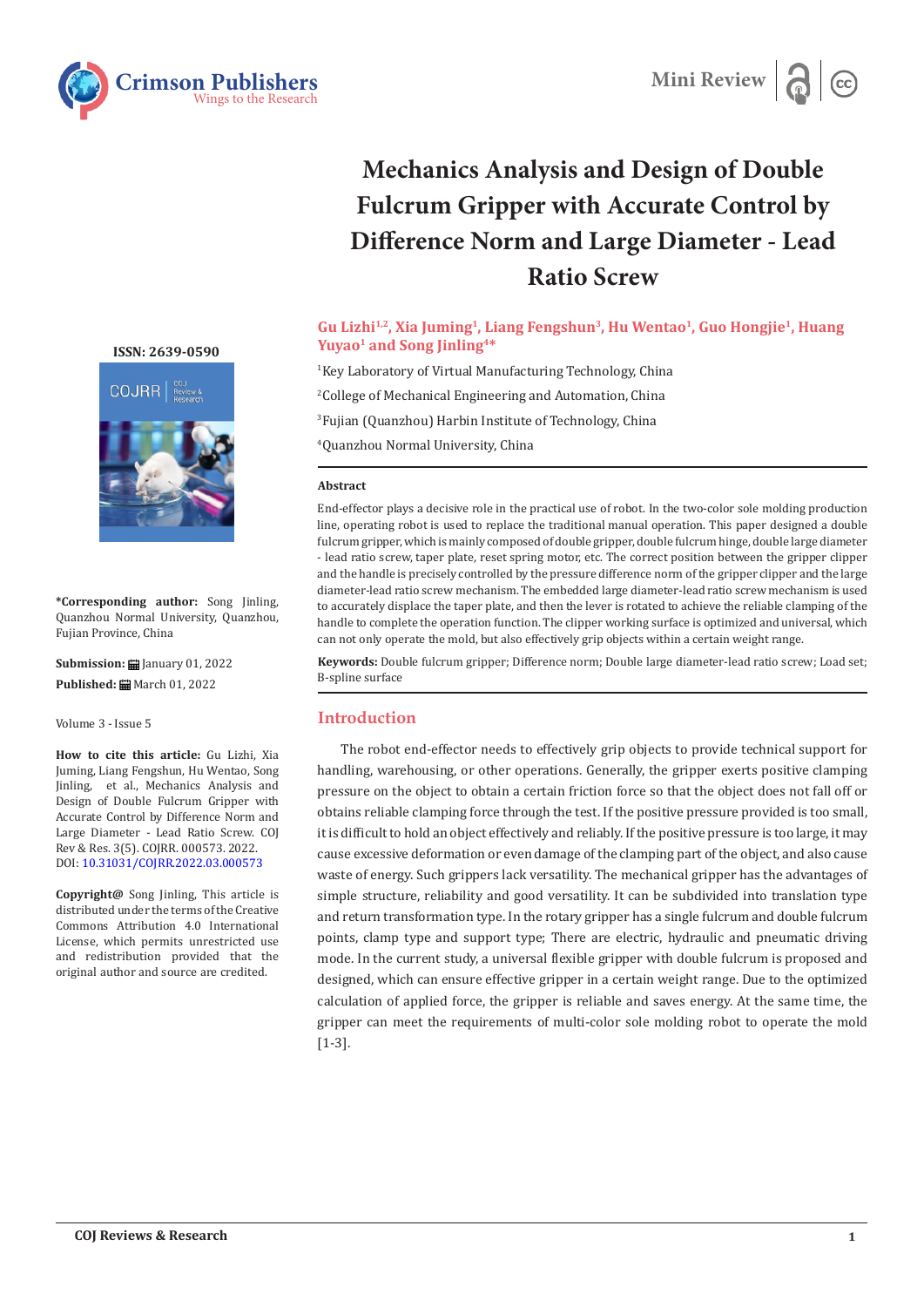



# **Mechanics Analysis and Design of Double Fulcrum Gripper with Accurate Control by Difference Norm and Large Diameter - Lead Ratio Screw**

# **Gu Lizhi1,2, Xia Juming1, Liang Fengshun3, Hu Wentao1, Guo Hongjie1, Huang**  Yuyao<sup>1</sup> and Song Jinling<sup>4\*</sup>

 Key Laboratory of Virtual Manufacturing Technology, China College of Mechanical Engineering and Automation, China Fujian (Quanzhou) Harbin Institute of Technology, China Quanzhou Normal University, China

#### **Abstract**

End-effector plays a decisive role in the practical use of robot. In the two-color sole molding production line, operating robot is used to replace the traditional manual operation. This paper designed a double fulcrum gripper, which is mainly composed of double gripper, double fulcrum hinge, double large diameter - lead ratio screw, taper plate, reset spring motor, etc. The correct position between the gripper clipper and the handle is precisely controlled by the pressure difference norm of the gripper clipper and the large diameter-lead ratio screw mechanism. The embedded large diameter-lead ratio screw mechanism is used to accurately displace the taper plate, and then the lever is rotated to achieve the reliable clamping of the handle to complete the operation function. The clipper working surface is optimized and universal, which can not only operate the mold, but also effectively grip objects within a certain weight range.

**Keywords:** Double fulcrum gripper; Difference norm; Double large diameter-lead ratio screw; Load set; B-spline surface

# **Introduction**

The robot end-effector needs to effectively grip objects to provide technical support for handling, warehousing, or other operations. Generally, the gripper exerts positive clamping pressure on the object to obtain a certain friction force so that the object does not fall off or obtains reliable clamping force through the test. If the positive pressure provided is too small, it is difficult to hold an object effectively and reliably. If the positive pressure is too large, it may cause excessive deformation or even damage of the clamping part of the object, and also cause waste of energy. Such grippers lack versatility. The mechanical gripper has the advantages of simple structure, reliability and good versatility. It can be subdivided into translation type and return transformation type. In the rotary gripper has a single fulcrum and double fulcrum points, clamp type and support type; There are electric, hydraulic and pneumatic driving mode. In the current study, a universal flexible gripper with double fulcrum is proposed and designed, which can ensure effective gripper in a certain weight range. Due to the optimized calculation of applied force, the gripper is reliable and saves energy. At the same time, the gripper can meet the requirements of multi-color sole molding robot to operate the mold [1-3].

**[ISSN: 2639-0590](https://www.crimsonpublishers.com/cojrr/)**



**\*Corresponding author:** Song Jinling, Quanzhou Normal University, Quanzhou, Fujian Province, China

**Submission:** January 01, 2022 Published: **曲** March 01, 2022

Volume 3 - Issue 5

**How to cite this article:** Gu Lizhi, Xia Juming, Liang Fengshun, Hu Wentao, Song Jinling, et al., Mechanics Analysis and Design of Double Fulcrum Gripper with Accurate Control by Difference Norm and Large Diameter - Lead Ratio Screw. COJ Rev & Res. 3(5). COJRR. 000573. 2022. DOI: [10.31031/COJRR.2022.03.000573](http://dx.doi.org/10.31031/COJRR.2022.03.000573)

**Copyright@** Song Jinling, This article is distributed under the terms of the Creative Commons Attribution 4.0 International License, which permits unrestricted use and redistribution provided that the original author and source are credited.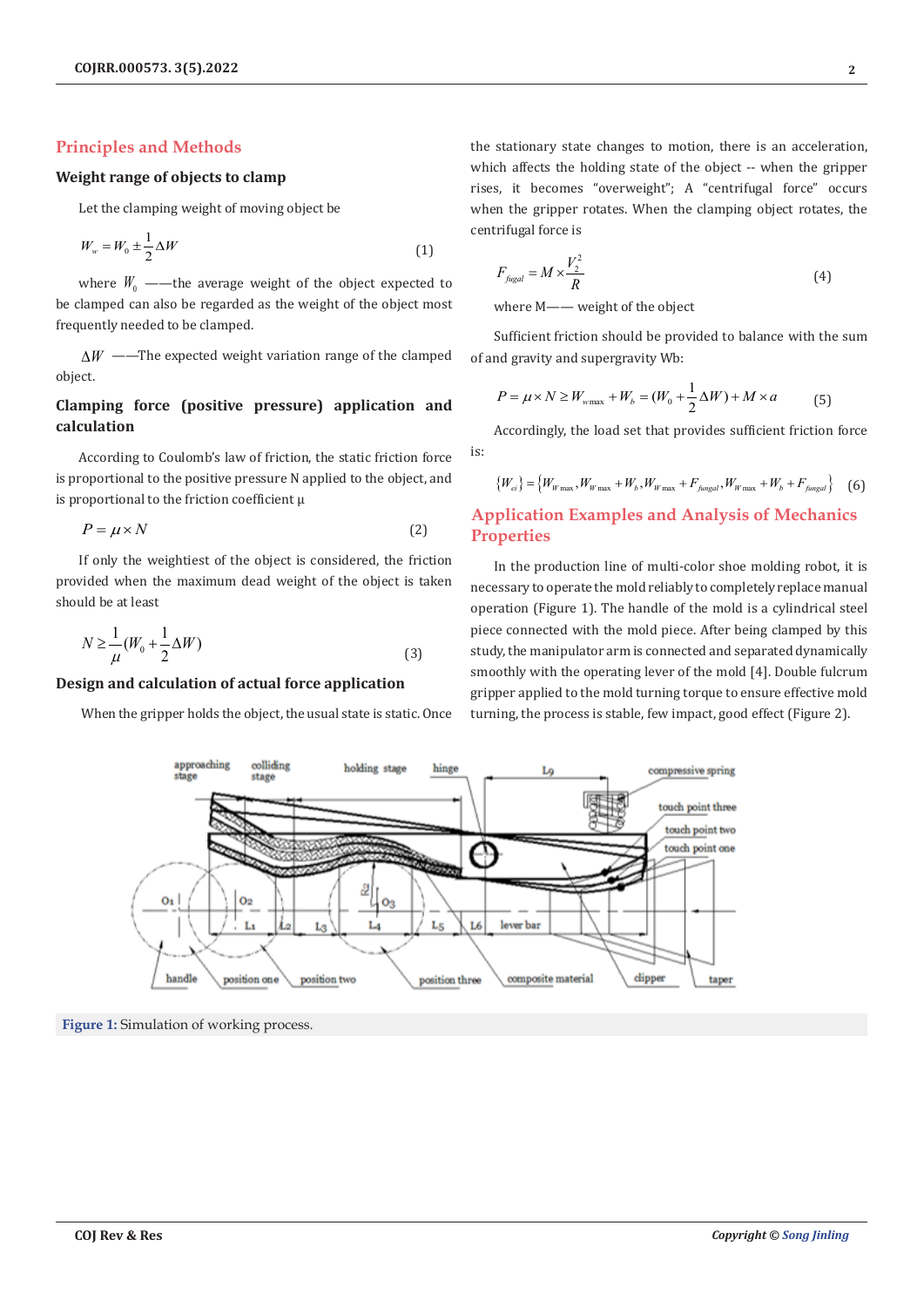# **Principles and Methods**

#### **Weight range of objects to clamp**

Let the clamping weight of moving object be

$$
W_w = W_0 \pm \frac{1}{2} \Delta W \tag{1}
$$

where  $W_0$  ——the average weight of the object expected to be clamped can also be regarded as the weight of the object most frequently needed to be clamped.

∆*W* ——The expected weight variation range of the clamped object.

# **Clamping force (positive pressure) application and calculation**

According to Coulomb's law of friction, the static friction force is proportional to the positive pressure N applied to the object, and is proportional to the friction coefficient  $\mu$ 

$$
P = \mu \times N \tag{2}
$$

If only the weightiest of the object is considered, the friction provided when the maximum dead weight of the object is taken should be at least

$$
N \ge \frac{1}{\mu} (W_0 + \frac{1}{2} \Delta W) \tag{3}
$$

#### **Design and calculation of actual force application**

When the gripper holds the object, the usual state is static. Once

the stationary state changes to motion, there is an acceleration, which affects the holding state of the object -- when the gripper rises, it becomes "overweight"; A "centrifugal force" occurs when the gripper rotates. When the clamping object rotates, the centrifugal force is

$$
F_{\text{fugal}} = M \times \frac{V_2^2}{R} \tag{4}
$$

where M—— weight of the object

Sufficient friction should be provided to balance with the sum of and gravity and supergravity Wb:

$$
P = \mu \times N \ge W_{\text{wmax}} + W_b = (W_0 + \frac{1}{2}\Delta W) + M \times a \tag{5}
$$

Accordingly, the load set that provides sufficient friction force is:

$$
\{W_{ei}\} = \{W_{W\max}, W_{W\max} + W_b, W_{W\max} + F_{f\text{ungal}}, W_{W\max} + W_b + F_{f\text{ungal}}\}
$$
 (6)

# **Application Examples and Analysis of Mechanics Properties**

In the production line of multi-color shoe molding robot, it is necessary to operate the mold reliably to completely replace manual operation (Figure 1). The handle of the mold is a cylindrical steel piece connected with the mold piece. After being clamped by this study, the manipulator arm is connected and separated dynamically smoothly with the operating lever of the mold [4]. Double fulcrum gripper applied to the mold turning torque to ensure effective mold turning, the process is stable, few impact, good effect (Figure 2).



**Figure 1:** Simulation of working process.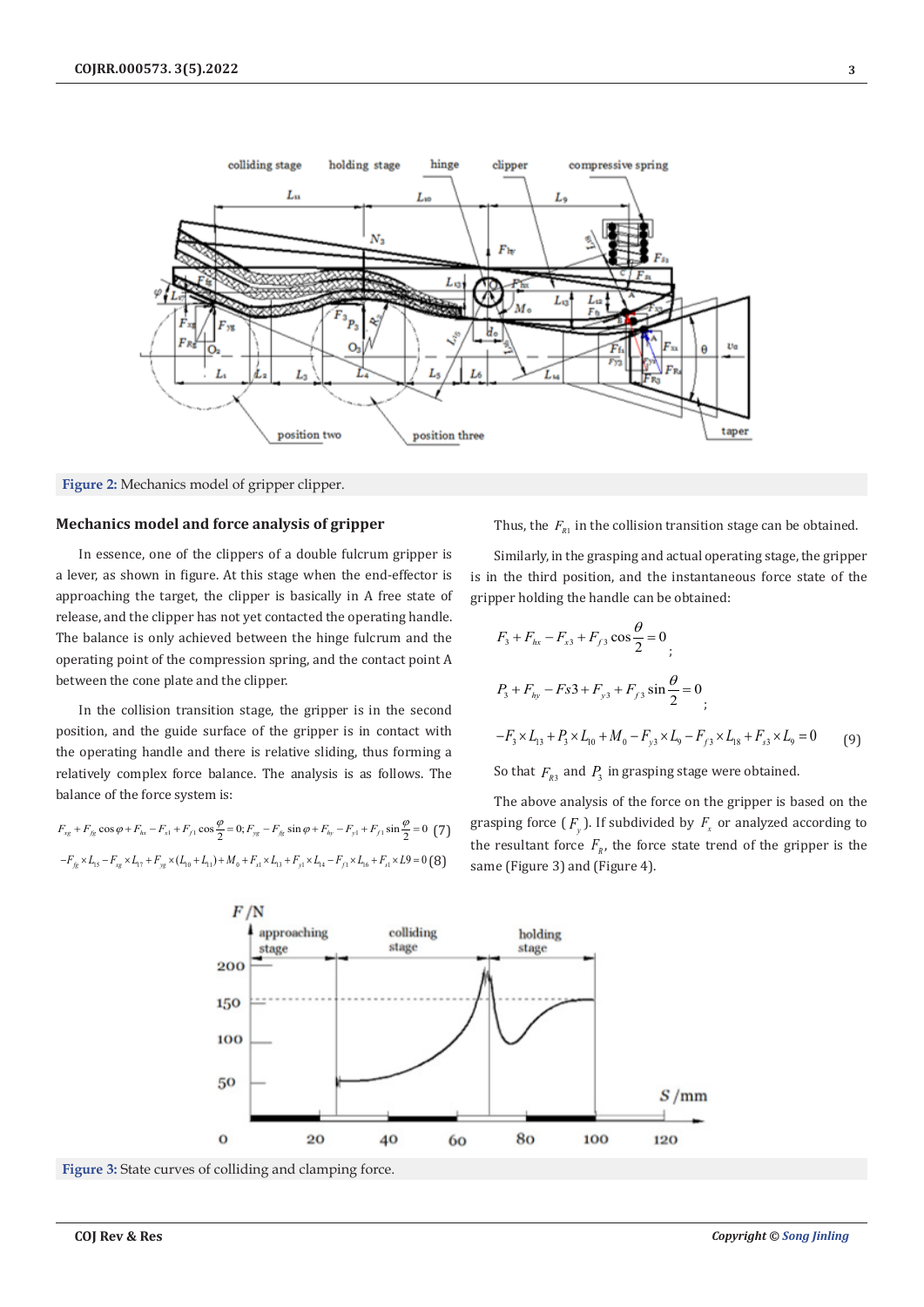



### **Mechanics model and force analysis of gripper**

In essence, one of the clippers of a double fulcrum gripper is a lever, as shown in figure. At this stage when the end-effector is approaching the target, the clipper is basically in A free state of release, and the clipper has not yet contacted the operating handle. The balance is only achieved between the hinge fulcrum and the operating point of the compression spring, and the contact point A between the cone plate and the clipper.

In the collision transition stage, the gripper is in the second position, and the guide surface of the gripper is in contact with the operating handle and there is relative sliding, thus forming a relatively complex force balance. The analysis is as follows. The balance of the force system is:

$$
F_{xg} + F_{fg} \cos \varphi + F_{hx} - F_{x1} + F_{f1} \cos \frac{\varphi}{2} = 0; F_{yg} - F_{fg} \sin \varphi + F_{hy} - F_{y1} + F_{f1} \sin \frac{\varphi}{2} = 0 \tag{7}
$$

$$
-F_{fg} \times L_{15} - F_{xg} \times L_{17} + F_{yg} \times (L_{10} + L_{11}) + M_0 + F_{x1} \times L_{13} + F_{y1} \times L_{14} - F_{f1} \times L_{16} + F_{s1} \times L9 = 0 \text{ (8)}
$$

Thus, the  $F_{R1}$  in the collision transition stage can be obtained.

Similarly, in the grasping and actual operating stage, the gripper is in the third position, and the instantaneous force state of the gripper holding the handle can be obtained:

$$
F_3 + F_{hx} - F_{x3} + F_{f3} \cos \frac{\theta}{2} = 0
$$
  
\n
$$
P_3 + F_{hy} - Fs3 + F_{y3} + F_{f3} \sin \frac{\theta}{2} = 0
$$
  
\n
$$
-F_3 \times L_{13} + P_3 \times L_{10} + M_0 - F_{y3} \times L_9 - F_{f3} \times L_{18} + F_{s3} \times L_9 = 0
$$
 (9)

So that  $F_{R_3}$  and  $P_3$  in grasping stage were obtained.

The above analysis of the force on the gripper is based on the grasping force  $(F_y)$ . If subdivided by  $F_x$  or analyzed according to the resultant force  $F<sub>R</sub>$ , the force state trend of the gripper is the same (Figure 3) and (Figure 4).



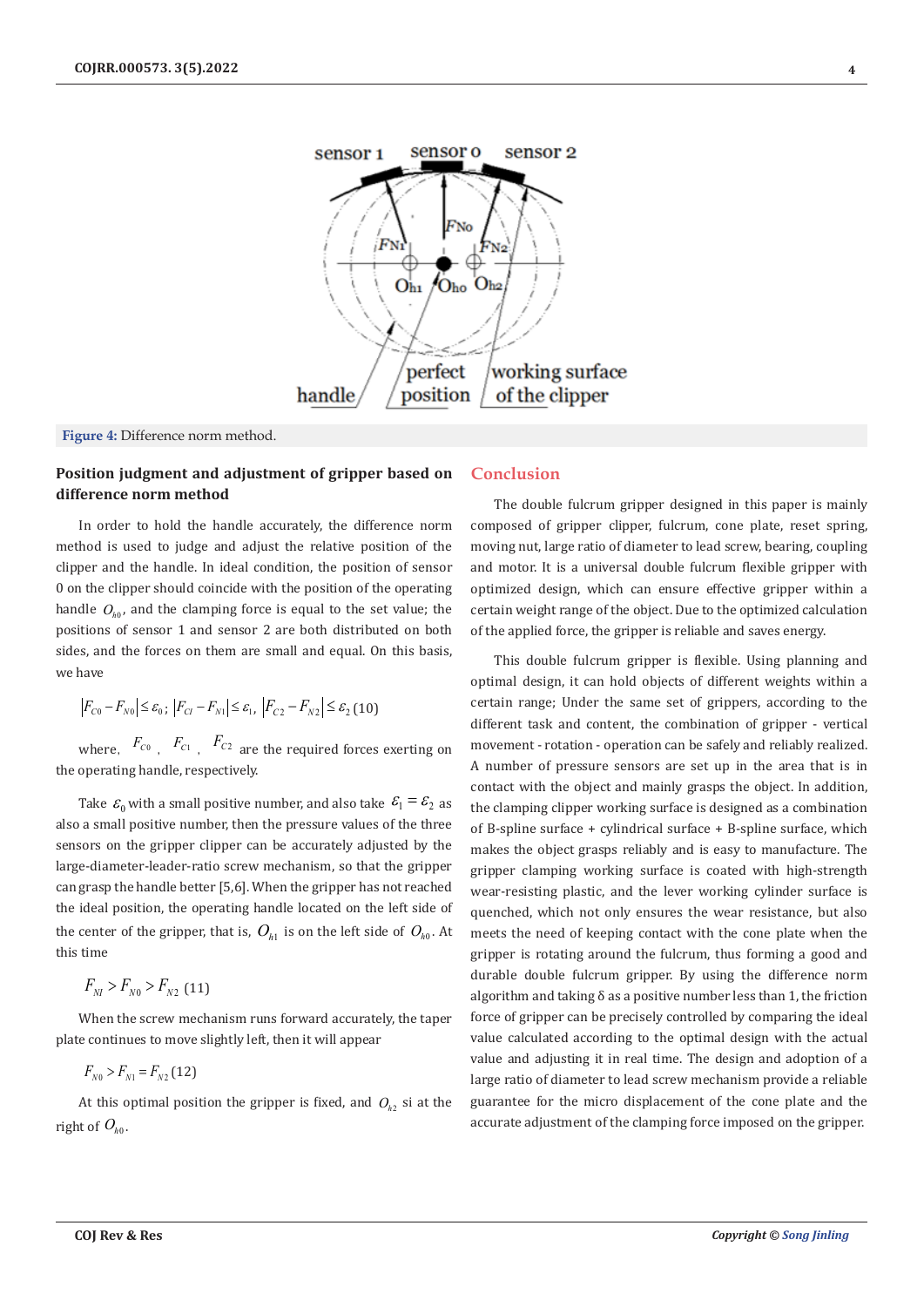

**Figure 4:** Difference norm method.

# **Position judgment and adjustment of gripper based on difference norm method**

In order to hold the handle accurately, the difference norm method is used to judge and adjust the relative position of the clipper and the handle. In ideal condition, the position of sensor 0 on the clipper should coincide with the position of the operating handle  $O_{h0}$ , and the clamping force is equal to the set value; the positions of sensor 1 and sensor 2 are both distributed on both sides, and the forces on them are small and equal. On this basis, we have

$$
|F_{C0} - F_{N0}| \le \varepsilon_0 \cdot |F_{C1} - F_{N1}| \le \varepsilon_1 \cdot |F_{C2} - F_{N2}| \le \varepsilon_2 (10)
$$

where,  $F_{C0}$ ,  $F_{C1}$ ,  $F_{C2}$  are the required forces exerting on the operating handle, respectively.

Take  $\mathcal{E}_0$  with a small positive number, and also take  $\mathcal{E}_1 = \mathcal{E}_2$  as also a small positive number, then the pressure values of the three sensors on the gripper clipper can be accurately adjusted by the large-diameter-leader-ratio screw mechanism, so that the gripper can grasp the handle better [5,6]. When the gripper has not reached the ideal position, the operating handle located on the left side of the center of the gripper, that is,  $O_{h1}$  is on the left side of  $O_{h0}$ . At this time

$$
F_{_{NI}} > F_{_{N0}} > F_{_{N2}}
$$
 (11)

When the screw mechanism runs forward accurately, the taper plate continues to move slightly left, then it will appear

$$
F_{N0} > F_{N1} = F_{N2} (12)
$$

At this optimal position the gripper is fixed, and  $O_{h2}$  si at the right of  $O_{h0}$ .

#### **Conclusion**

The double fulcrum gripper designed in this paper is mainly composed of gripper clipper, fulcrum, cone plate, reset spring, moving nut, large ratio of diameter to lead screw, bearing, coupling and motor. It is a universal double fulcrum flexible gripper with optimized design, which can ensure effective gripper within a certain weight range of the object. Due to the optimized calculation of the applied force, the gripper is reliable and saves energy.

This double fulcrum gripper is flexible. Using planning and optimal design, it can hold objects of different weights within a certain range; Under the same set of grippers, according to the different task and content, the combination of gripper - vertical movement - rotation - operation can be safely and reliably realized. A number of pressure sensors are set up in the area that is in contact with the object and mainly grasps the object. In addition, the clamping clipper working surface is designed as a combination of B-spline surface + cylindrical surface + B-spline surface, which makes the object grasps reliably and is easy to manufacture. The gripper clamping working surface is coated with high-strength wear-resisting plastic, and the lever working cylinder surface is quenched, which not only ensures the wear resistance, but also meets the need of keeping contact with the cone plate when the gripper is rotating around the fulcrum, thus forming a good and durable double fulcrum gripper. By using the difference norm algorithm and taking  $\delta$  as a positive number less than 1, the friction force of gripper can be precisely controlled by comparing the ideal value calculated according to the optimal design with the actual value and adjusting it in real time. The design and adoption of a large ratio of diameter to lead screw mechanism provide a reliable guarantee for the micro displacement of the cone plate and the accurate adjustment of the clamping force imposed on the gripper.